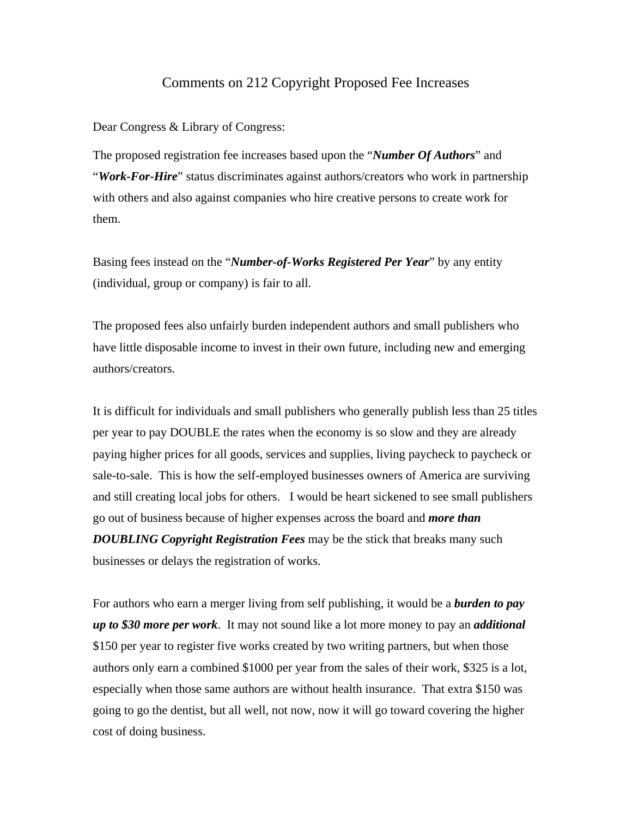## Comments on 212 Copyright Proposed Fee Increases

Dear Congress & Library of Congress:

The proposed registration fee increases based upon the "*Number Of Authors*" and "*Work-For-Hire*" status discriminates against authors/creators who work in partnership with others and also against companies who hire creative persons to create work for them.

Basing fees instead on the "*Number-of-Works Registered Per Year*" by any entity (individual, group or company) is fair to all.

The proposed fees also unfairly burden independent authors and small publishers who have little disposable income to invest in their own future, including new and emerging authors/creators.

It is difficult for individuals and small publishers who generally publish less than 25 titles per year to pay DOUBLE the rates when the economy is so slow and they are already paying higher prices for all goods, services and supplies, living paycheck to paycheck or sale-to-sale. This is how the self-employed businesses owners of America are surviving and still creating local jobs for others. I would be heart sickened to see small publishers go out of business because of higher expenses across the board and *more than DOUBLING Copyright Registration Fees* may be the stick that breaks many such businesses or delays the registration of works.

For authors who earn a merger living from self publishing, it would be a *burden to pay up to \$30 more per work*. It may not sound like a lot more money to pay an *additional*  \$150 per year to register five works created by two writing partners, but when those authors only earn a combined \$1000 per year from the sales of their work, \$325 is a lot, especially when those same authors are without health insurance. That extra \$150 was going to go the dentist, but all well, not now, now it will go toward covering the higher cost of doing business.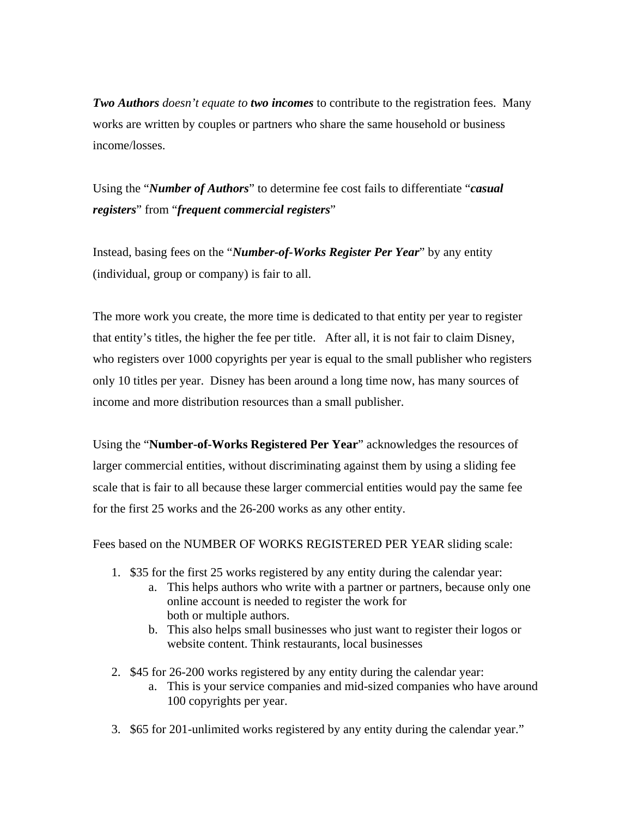*Two Authors doesn't equate to two incomes* to contribute to the registration fees. Many works are written by couples or partners who share the same household or business income/losses.

Using the "*Number of Authors*" to determine fee cost fails to differentiate "*casual registers*" from "*frequent commercial registers*"

Instead, basing fees on the "*Number-of-Works Register Per Year*" by any entity (individual, group or company) is fair to all.

The more work you create, the more time is dedicated to that entity per year to register that entity's titles, the higher the fee per title. After all, it is not fair to claim Disney, who registers over 1000 copyrights per year is equal to the small publisher who registers only 10 titles per year. Disney has been around a long time now, has many sources of income and more distribution resources than a small publisher.

Using the "**Number-of-Works Registered Per Year**" acknowledges the resources of larger commercial entities, without discriminating against them by using a sliding fee scale that is fair to all because these larger commercial entities would pay the same fee for the first 25 works and the 26-200 works as any other entity.

Fees based on the NUMBER OF WORKS REGISTERED PER YEAR sliding scale:

- 1. \$35 for the first 25 works registered by any entity during the calendar year:
	- a. This helps authors who write with a partner or partners, because only one online account is needed to register the work for both or multiple authors.
	- b. This also helps small businesses who just want to register their logos or website content. Think restaurants, local businesses
- 2. \$45 for 26-200 works registered by any entity during the calendar year:
	- a. This is your service companies and mid-sized companies who have around 100 copyrights per year.
- 3. \$65 for 201-unlimited works registered by any entity during the calendar year."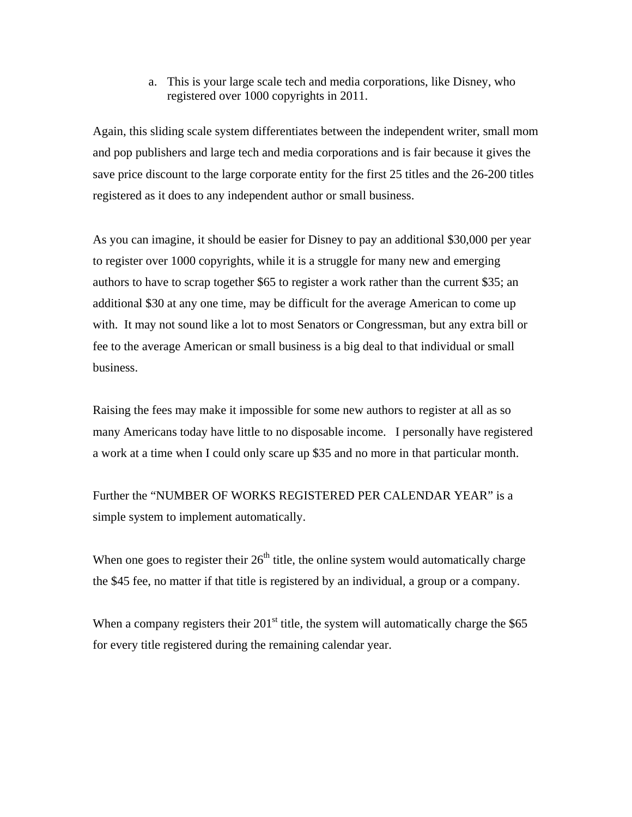a. This is your large scale tech and media corporations, like Disney, who registered over 1000 copyrights in 2011.

Again, this sliding scale system differentiates between the independent writer, small mom and pop publishers and large tech and media corporations and is fair because it gives the save price discount to the large corporate entity for the first 25 titles and the 26-200 titles registered as it does to any independent author or small business.

As you can imagine, it should be easier for Disney to pay an additional \$30,000 per year to register over 1000 copyrights, while it is a struggle for many new and emerging authors to have to scrap together \$65 to register a work rather than the current \$35; an additional \$30 at any one time, may be difficult for the average American to come up with. It may not sound like a lot to most Senators or Congressman, but any extra bill or fee to the average American or small business is a big deal to that individual or small business.

Raising the fees may make it impossible for some new authors to register at all as so many Americans today have little to no disposable income. I personally have registered a work at a time when I could only scare up \$35 and no more in that particular month.

Further the "NUMBER OF WORKS REGISTERED PER CALENDAR YEAR" is a simple system to implement automatically.

When one goes to register their  $26<sup>th</sup>$  title, the online system would automatically charge the \$45 fee, no matter if that title is registered by an individual, a group or a company.

When a company registers their  $201<sup>st</sup>$  title, the system will automatically charge the \$65 for every title registered during the remaining calendar year.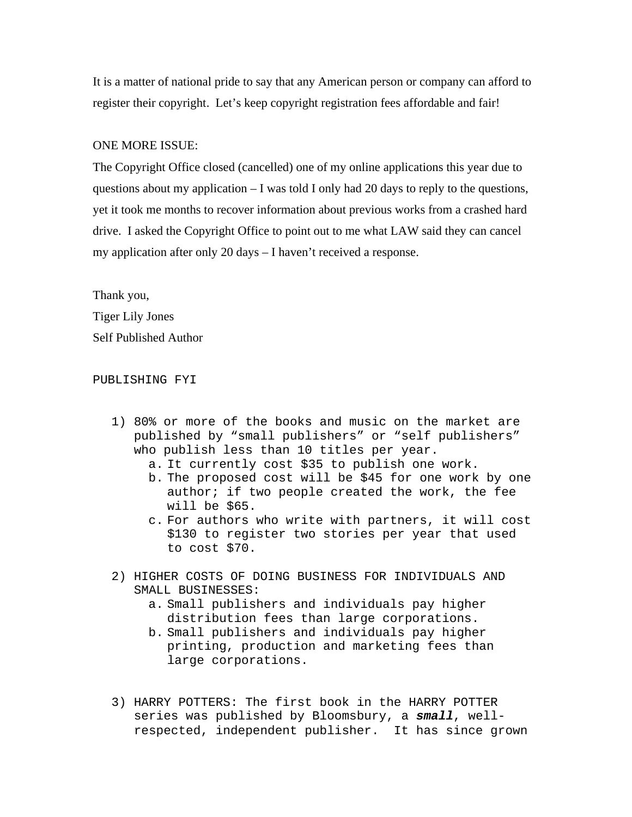It is a matter of national pride to say that any American person or company can afford to register their copyright. Let's keep copyright registration fees affordable and fair!

## ONE MORE ISSUE:

The Copyright Office closed (cancelled) one of my online applications this year due to questions about my application  $-1$  was told I only had 20 days to reply to the questions, yet it took me months to recover information about previous works from a crashed hard drive. I asked the Copyright Office to point out to me what LAW said they can cancel my application after only 20 days – I haven't received a response.

Thank you, Tiger Lily Jones Self Published Author

## PUBLISHING FYI

- 1) 80% or more of the books and music on the market are published by "small publishers" or "self publishers" who publish less than 10 titles per year.
	- a. It currently cost \$35 to publish one work.
	- b. The proposed cost will be \$45 for one work by one author; if two people created the work, the fee will be \$65.
	- c. For authors who write with partners, it will cost \$130 to register two stories per year that used to cost \$70.
- 2) HIGHER COSTS OF DOING BUSINESS FOR INDIVIDUALS AND SMALL BUSINESSES:
	- a. Small publishers and individuals pay higher distribution fees than large corporations.
	- b. Small publishers and individuals pay higher printing, production and marketing fees than large corporations.
- 3) HARRY POTTERS: The first book in the HARRY POTTER series was published by Bloomsbury, a *small*, wellrespected, independent publisher. It has since grown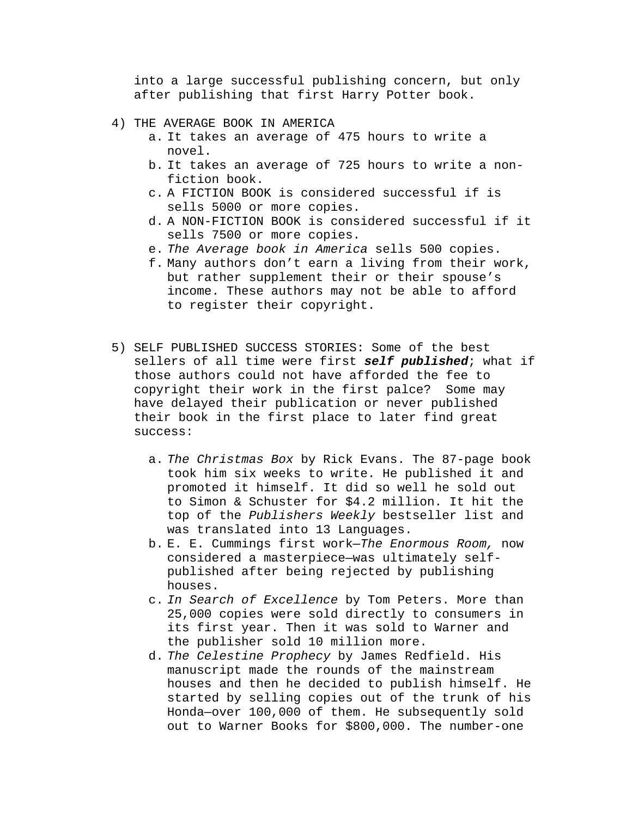into a large successful publishing concern, but only after publishing that first Harry Potter book.

- 4) THE AVERAGE BOOK IN AMERICA
	- a. It takes an average of 475 hours to write a novel.
	- b. It takes an average of 725 hours to write a nonfiction book.
	- c. A FICTION BOOK is considered successful if is sells 5000 or more copies.
	- d. A NON-FICTION BOOK is considered successful if it sells 7500 or more copies.
	- e. *The Average book in America* sells 500 copies.
	- f. Many authors don't earn a living from their work, but rather supplement their or their spouse's income. These authors may not be able to afford to register their copyright.
- 5) SELF PUBLISHED SUCCESS STORIES: Some of the best sellers of all time were first *self published*; what if those authors could not have afforded the fee to copyright their work in the first palce? Some may have delayed their publication or never published their book in the first place to later find great success:
	- a. *The Christmas Box* by Rick Evans. The 87-page book took him six weeks to write. He published it and promoted it himself. It did so well he sold out to Simon & Schuster for \$4.2 million. It hit the top of the *Publishers Weekly* bestseller list and was translated into 13 Languages.
	- b. E. E. Cummings first work—*The Enormous Room,* now considered a masterpiece—was ultimately selfpublished after being rejected by publishing houses.
	- c. *In Search of Excellence* by Tom Peters. More than 25,000 copies were sold directly to consumers in its first year. Then it was sold to Warner and the publisher sold 10 million more.
	- d. *The Celestine Prophecy* by James Redfield. His manuscript made the rounds of the mainstream houses and then he decided to publish himself. He started by selling copies out of the trunk of his Honda—over 100,000 of them. He subsequently sold out to Warner Books for \$800,000. The number-one